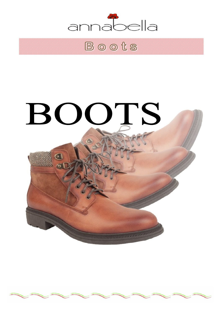

Boots

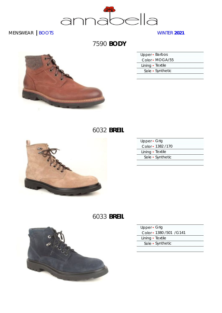

7590 **BODY**

| r |  |
|---|--|

| Upper - Barbos   |  |
|------------------|--|
| Color - MOGA/55  |  |
| Lining • Textile |  |
| Sole • Synthetic |  |
|                  |  |

## 6032 **BREIL**



| Upper • Grig       |  |
|--------------------|--|
| Color - 1382 / 170 |  |
| Lining · Textile   |  |
| Sole • Synthetic   |  |
|                    |  |

# 6033 **BREIL**



| Upper • Grig              |  |
|---------------------------|--|
| Color - 1380 / 501 / G141 |  |
| Lining · Textile          |  |
| Sole • Synthetic          |  |
|                           |  |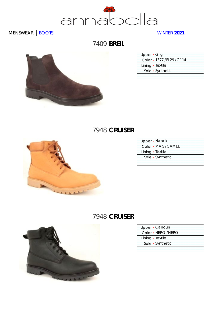

### 7409 **BREIL**



| Upper • Grig               |  |
|----------------------------|--|
| Color - 1377 / EL29 / G114 |  |
| Lining • Textile           |  |
| Sole • Synthetic           |  |
|                            |  |

#### 7948 **CRUISER**



| Upper - Nabuk        |  |
|----------------------|--|
| Color - MAIS / CAMEL |  |
| Lining · Textile     |  |
| Sole • Synthetic     |  |
|                      |  |

### 7948 **CRUISER**



- Upper Cancun
- Color NERO /NERO
- Lining Textile
- Sole Synthetic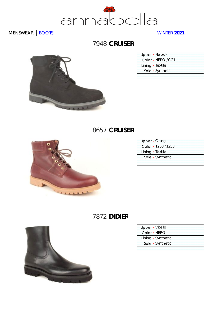

### 7948 **CRUISER**



| Upper - Nabuk      |  |
|--------------------|--|
| Color - NERO / C21 |  |
| Lining · Textile   |  |
| Sole • Synthetic   |  |

### 8657 **CRUISER**



| Upper • Gang       |  |
|--------------------|--|
| Color - 1253 /1253 |  |
| Lining · Textile   |  |
| Sole • Synthetic   |  |
|                    |  |

# 7872 **DIDIER**



| Upper • Vitello    |  |
|--------------------|--|
| Color • NERO       |  |
| Lining • Synthetic |  |
| Sole • Synthetic   |  |
|                    |  |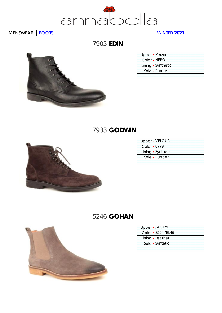

7905 **EDIN**



| Upper - Maxim      |
|--------------------|
| Color • NERO       |
| Lining • Synthetic |
| Sole • Rubber      |
|                    |

### 7933 **GODWIN**



| Upper - VELOUR     |  |
|--------------------|--|
| Color $\cdot$ 8779 |  |
| Lining • Synthetic |  |
| Sole • Rubber      |  |
|                    |  |

## 5246 **GOHAN**



| Upper - JACKYE      |  |
|---------------------|--|
| Color - 8594 / EL46 |  |
| Lining · Leather    |  |
| Sole · Syntetic     |  |
|                     |  |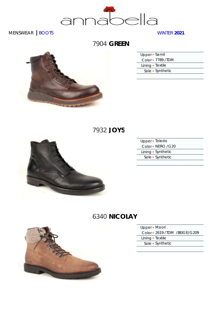

### 7904 **GREEN**



| Upper · Samil      |  |
|--------------------|--|
| Color - 7789 / TDM |  |
| Lining • Textile   |  |
| Sole • Synthetic   |  |
|                    |  |

### 7932 **JOYS**



| Upper · Toledo     |  |
|--------------------|--|
| Color • NERO / G20 |  |
| Lining • Synthetic |  |
| Sole • Synthetic   |  |
|                    |  |

# 6340 **NICOLAY**



| Upper • Maori |  |
|---------------|--|
|---------------|--|

Color ▪ 2619 /TDM /BEIGE/G209

Lining • Textile

Sole ▪ Synthetic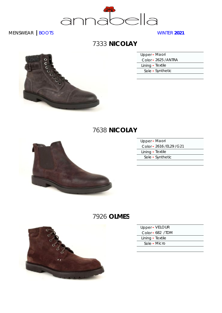

## 7333 **NICOLAY**

Lining • Textile

Sole ▪ Synthetic

## 7638 **NICOLAY**



| Upper - Maori             |  |
|---------------------------|--|
| Color - 2616 / EL29 / G21 |  |
| Lining • Textile          |  |
| Sole • Synthetic          |  |
|                           |  |

# 7926 **OLMES**



| Upper - VELOUR   |  |
|------------------|--|
| Color - 682 /TDM |  |
| Lining • Textile |  |
| Sole - Micro     |  |
|                  |  |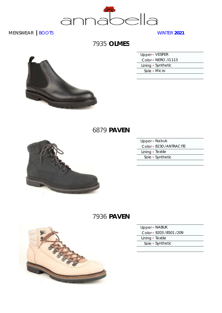

### 7935 **OLMES**

| Upper - VESPER      |
|---------------------|
| Color - NERO / G113 |
| Lining • Synthetic  |
| Sole • Micro        |
|                     |

#### 6879 **PAVEN**



| Upper - Nabuk            |  |
|--------------------------|--|
| Color - 8230 / ANTRACITE |  |
| Lining · Textile         |  |
| Sole • Synthetic         |  |
|                          |  |

# 7936 **PAVEN**



| Upper • NABUK |
|---------------|
|---------------|

Color ▪ 9203 /8501 /209

Lining • Textile

Sole ▪ Synthetic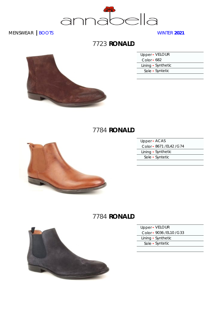

## 7723 **RONALD**



| Upper • VELOUR     |  |
|--------------------|--|
| Color $\cdot$ 682  |  |
| Lining • Synthetic |  |
| Sole • Syntetic    |  |
|                    |  |

### 7784 **RONALD**



| Upper - ACAS              |
|---------------------------|
| Color - 8671 / EL42 / G74 |
| Lining • Synthetic        |
| Sole · Syntetic           |
|                           |

# 7784 **RONALD**



| Upper - VELOUR            |
|---------------------------|
| Color - 9036 / EL10 / G33 |

Lining • Synthetic

Sole ▪ Syntetic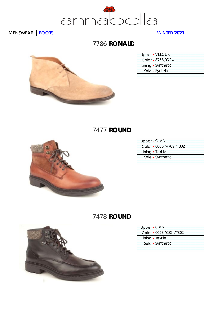

## 7786 **RONALD**



| Upper • VELOUR     |
|--------------------|
| Color - 8753 / G24 |
| Lining • Synthetic |
| Sole • Syntetic    |
|                    |

## 7477 **ROUND**



| Upper - CLAN             |  |
|--------------------------|--|
| Color - 6655 /4709 /T802 |  |
| Lining • Textile         |  |
| Sole • Synthetic         |  |
|                          |  |

## 7478 **ROUND**



| Upper · Clan             |  |
|--------------------------|--|
| Color • 6653 /682 / 7802 |  |
| Lining · Textile         |  |
|                          |  |

Sole ▪ Synthetic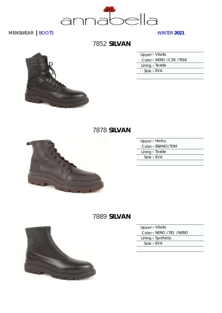

# 7852 **SILVAN**

| Upper • Vitello           |  |
|---------------------------|--|
| Color - NERO / C29 / T916 |  |
| Lining · Textile          |  |
| Sole - EVA                |  |
|                           |  |

## 7878 **SILVAN**



| Upper - Herby    |                   |
|------------------|-------------------|
|                  | Color • EBANO/TDM |
| Lining • Textile |                   |
| Sole • EVA       |                   |
|                  |                   |

# 7889 **SILVAN**



| Upper - Vitello         |  |
|-------------------------|--|
| Color - NERO /781 /NERO |  |
| Lining • Synthetic      |  |
| Sole - EVA              |  |
|                         |  |